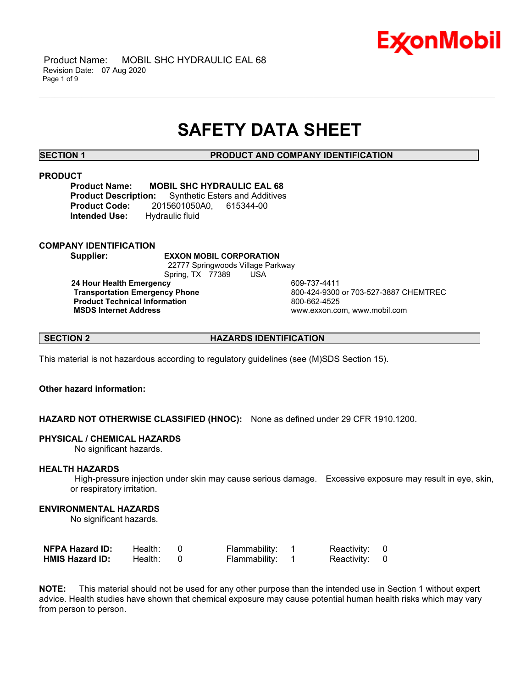

 Product Name: MOBIL SHC HYDRAULIC EAL 68 Revision Date: 07 Aug 2020 Page 1 of 9

## **SAFETY DATA SHEET**

\_\_\_\_\_\_\_\_\_\_\_\_\_\_\_\_\_\_\_\_\_\_\_\_\_\_\_\_\_\_\_\_\_\_\_\_\_\_\_\_\_\_\_\_\_\_\_\_\_\_\_\_\_\_\_\_\_\_\_\_\_\_\_\_\_\_\_\_\_\_\_\_\_\_\_\_\_\_\_\_\_\_\_\_\_\_\_\_\_\_\_\_\_\_\_\_\_\_\_\_\_\_\_\_\_\_\_\_\_\_\_\_\_\_\_\_\_\_

**SECTION 1 PRODUCT AND COMPANY IDENTIFICATION**

#### **PRODUCT**

**Product Name: MOBIL SHC HYDRAULIC EAL 68**<br>**Product Description:** Synthetic Esters and Additives **Synthetic Esters and Additives Product Code:** 2015601050A0, 615344-00 **Intended Use:** Hydraulic fluid

**COMPANY IDENTIFICATION**

**Supplier: EXXON MOBIL CORPORATION** 22777 Springwoods Village Parkway

Spring, TX 77389 USA

**24 Hour Health Emergency 609-737-4411<br>Transportation Emergency Phone 609-424-9300 Product Technical Information**<br> **MSDS Internet Address**<br>
MSDS Internet Address

 **Transportation Emergency Phone** 800-424-9300 or 703-527-3887 CHEMTREC  **MSDS Internet Address** www.exxon.com, www.mobil.com

**SECTION 2 HAZARDS IDENTIFICATION**

This material is not hazardous according to regulatory guidelines (see (M)SDS Section 15).

### **Other hazard information:**

**HAZARD NOT OTHERWISE CLASSIFIED (HNOC):** None as defined under 29 CFR 1910.1200.

#### **PHYSICAL / CHEMICAL HAZARDS**

No significant hazards.

#### **HEALTH HAZARDS**

 High-pressure injection under skin may cause serious damage. Excessive exposure may result in eye, skin, or respiratory irritation.

#### **ENVIRONMENTAL HAZARDS**

No significant hazards.

| <b>NFPA Hazard ID:</b> | Health: | Flammability: | Reactivity: 0 |  |
|------------------------|---------|---------------|---------------|--|
| <b>HMIS Hazard ID:</b> | Health: | Flammability: | Reactivity: 0 |  |

**NOTE:** This material should not be used for any other purpose than the intended use in Section 1 without expert advice. Health studies have shown that chemical exposure may cause potential human health risks which may vary from person to person.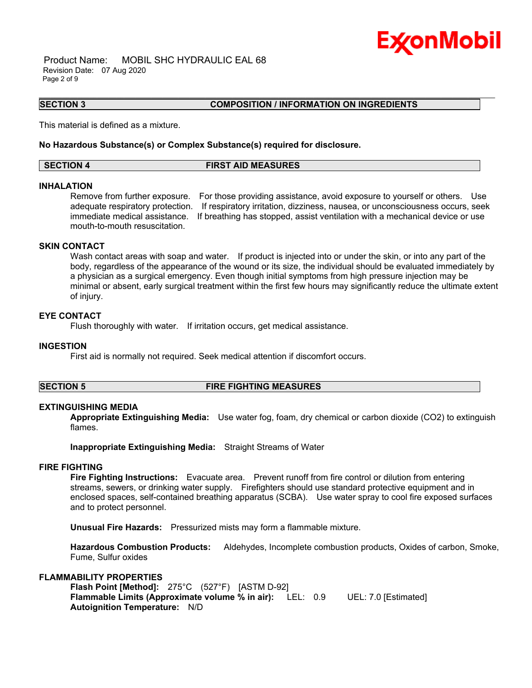

 Product Name: MOBIL SHC HYDRAULIC EAL 68 Revision Date: 07 Aug 2020 Page 2 of 9

#### **SECTION 3 COMPOSITION / INFORMATION ON INGREDIENTS**

This material is defined as a mixture.

#### **No Hazardous Substance(s) or Complex Substance(s) required for disclosure.**

**SECTION 4 FIRST AID MEASURES**

\_\_\_\_\_\_\_\_\_\_\_\_\_\_\_\_\_\_\_\_\_\_\_\_\_\_\_\_\_\_\_\_\_\_\_\_\_\_\_\_\_\_\_\_\_\_\_\_\_\_\_\_\_\_\_\_\_\_\_\_\_\_\_\_\_\_\_\_\_\_\_\_\_\_\_\_\_\_\_\_\_\_\_\_\_\_\_\_\_\_\_\_\_\_\_\_\_\_\_\_\_\_\_\_\_\_\_\_\_\_\_\_\_\_\_\_\_\_

#### **INHALATION**

Remove from further exposure. For those providing assistance, avoid exposure to yourself or others. Use adequate respiratory protection. If respiratory irritation, dizziness, nausea, or unconsciousness occurs, seek immediate medical assistance. If breathing has stopped, assist ventilation with a mechanical device or use mouth-to-mouth resuscitation.

### **SKIN CONTACT**

Wash contact areas with soap and water. If product is injected into or under the skin, or into any part of the body, regardless of the appearance of the wound or its size, the individual should be evaluated immediately by a physician as a surgical emergency. Even though initial symptoms from high pressure injection may be minimal or absent, early surgical treatment within the first few hours may significantly reduce the ultimate extent of injury.

#### **EYE CONTACT**

Flush thoroughly with water. If irritation occurs, get medical assistance.

#### **INGESTION**

First aid is normally not required. Seek medical attention if discomfort occurs.

#### **SECTION 5 FIRE FIGHTING MEASURES**

#### **EXTINGUISHING MEDIA**

**Appropriate Extinguishing Media:** Use water fog, foam, dry chemical or carbon dioxide (CO2) to extinguish flames.

**Inappropriate Extinguishing Media:** Straight Streams of Water

#### **FIRE FIGHTING**

**Fire Fighting Instructions:** Evacuate area. Prevent runoff from fire control or dilution from entering streams, sewers, or drinking water supply. Firefighters should use standard protective equipment and in enclosed spaces, self-contained breathing apparatus (SCBA). Use water spray to cool fire exposed surfaces and to protect personnel.

**Unusual Fire Hazards:** Pressurized mists may form a flammable mixture.

**Hazardous Combustion Products:** Aldehydes, Incomplete combustion products, Oxides of carbon, Smoke, Fume, Sulfur oxides

#### **FLAMMABILITY PROPERTIES**

**Flash Point [Method]:** 275°C (527°F) [ASTM D-92] **Flammable Limits (Approximate volume % in air):** LEL: 0.9 UEL: 7.0 [Estimated] **Autoignition Temperature:** N/D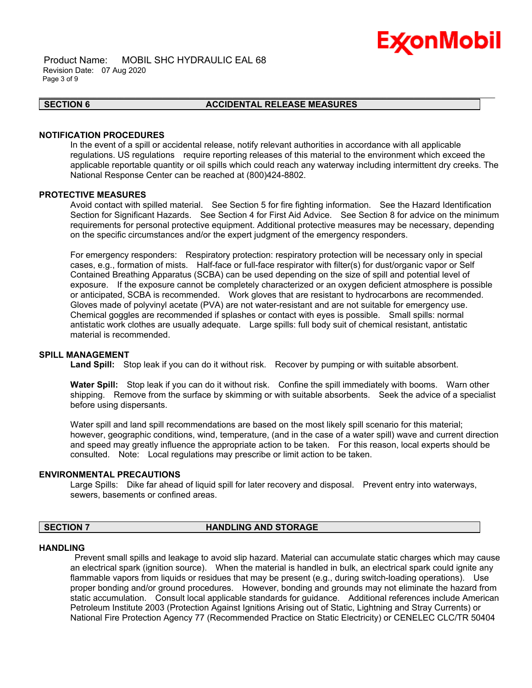# Ex⁄onMobil

 Product Name: MOBIL SHC HYDRAULIC EAL 68 Revision Date: 07 Aug 2020 Page 3 of 9

#### **SECTION 6 ACCIDENTAL RELEASE MEASURES**

\_\_\_\_\_\_\_\_\_\_\_\_\_\_\_\_\_\_\_\_\_\_\_\_\_\_\_\_\_\_\_\_\_\_\_\_\_\_\_\_\_\_\_\_\_\_\_\_\_\_\_\_\_\_\_\_\_\_\_\_\_\_\_\_\_\_\_\_\_\_\_\_\_\_\_\_\_\_\_\_\_\_\_\_\_\_\_\_\_\_\_\_\_\_\_\_\_\_\_\_\_\_\_\_\_\_\_\_\_\_\_\_\_\_\_\_\_\_

#### **NOTIFICATION PROCEDURES**

In the event of a spill or accidental release, notify relevant authorities in accordance with all applicable regulations. US regulations require reporting releases of this material to the environment which exceed the applicable reportable quantity or oil spills which could reach any waterway including intermittent dry creeks. The National Response Center can be reached at (800)424-8802.

#### **PROTECTIVE MEASURES**

Avoid contact with spilled material. See Section 5 for fire fighting information. See the Hazard Identification Section for Significant Hazards. See Section 4 for First Aid Advice. See Section 8 for advice on the minimum requirements for personal protective equipment. Additional protective measures may be necessary, depending on the specific circumstances and/or the expert judgment of the emergency responders.

For emergency responders: Respiratory protection: respiratory protection will be necessary only in special cases, e.g., formation of mists. Half-face or full-face respirator with filter(s) for dust/organic vapor or Self Contained Breathing Apparatus (SCBA) can be used depending on the size of spill and potential level of exposure. If the exposure cannot be completely characterized or an oxygen deficient atmosphere is possible or anticipated, SCBA is recommended. Work gloves that are resistant to hydrocarbons are recommended. Gloves made of polyvinyl acetate (PVA) are not water-resistant and are not suitable for emergency use. Chemical goggles are recommended if splashes or contact with eyes is possible. Small spills: normal antistatic work clothes are usually adequate. Large spills: full body suit of chemical resistant, antistatic material is recommended.

#### **SPILL MANAGEMENT**

Land Spill: Stop leak if you can do it without risk. Recover by pumping or with suitable absorbent.

**Water Spill:** Stop leak if you can do it without risk. Confine the spill immediately with booms. Warn other shipping. Remove from the surface by skimming or with suitable absorbents. Seek the advice of a specialist before using dispersants.

Water spill and land spill recommendations are based on the most likely spill scenario for this material; however, geographic conditions, wind, temperature, (and in the case of a water spill) wave and current direction and speed may greatly influence the appropriate action to be taken. For this reason, local experts should be consulted. Note: Local regulations may prescribe or limit action to be taken.

#### **ENVIRONMENTAL PRECAUTIONS**

Large Spills: Dike far ahead of liquid spill for later recovery and disposal. Prevent entry into waterways, sewers, basements or confined areas.

#### **SECTION 7 HANDLING AND STORAGE**

#### **HANDLING**

 Prevent small spills and leakage to avoid slip hazard. Material can accumulate static charges which may cause an electrical spark (ignition source). When the material is handled in bulk, an electrical spark could ignite any flammable vapors from liquids or residues that may be present (e.g., during switch-loading operations). Use proper bonding and/or ground procedures. However, bonding and grounds may not eliminate the hazard from static accumulation. Consult local applicable standards for guidance. Additional references include American Petroleum Institute 2003 (Protection Against Ignitions Arising out of Static, Lightning and Stray Currents) or National Fire Protection Agency 77 (Recommended Practice on Static Electricity) or CENELEC CLC/TR 50404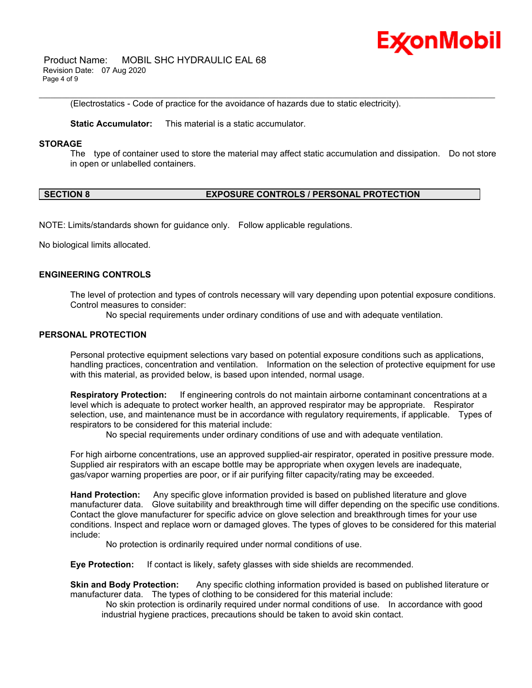

 Product Name: MOBIL SHC HYDRAULIC EAL 68 Revision Date: 07 Aug 2020 Page 4 of 9

(Electrostatics - Code of practice for the avoidance of hazards due to static electricity).

**Static Accumulator:** This material is a static accumulator.

#### **STORAGE**

The type of container used to store the material may affect static accumulation and dissipation. Do not store in open or unlabelled containers.

\_\_\_\_\_\_\_\_\_\_\_\_\_\_\_\_\_\_\_\_\_\_\_\_\_\_\_\_\_\_\_\_\_\_\_\_\_\_\_\_\_\_\_\_\_\_\_\_\_\_\_\_\_\_\_\_\_\_\_\_\_\_\_\_\_\_\_\_\_\_\_\_\_\_\_\_\_\_\_\_\_\_\_\_\_\_\_\_\_\_\_\_\_\_\_\_\_\_\_\_\_\_\_\_\_\_\_\_\_\_\_\_\_\_\_\_\_\_

### **SECTION 8 EXPOSURE CONTROLS / PERSONAL PROTECTION**

NOTE: Limits/standards shown for guidance only. Follow applicable regulations.

No biological limits allocated.

#### **ENGINEERING CONTROLS**

The level of protection and types of controls necessary will vary depending upon potential exposure conditions. Control measures to consider:

No special requirements under ordinary conditions of use and with adequate ventilation.

#### **PERSONAL PROTECTION**

Personal protective equipment selections vary based on potential exposure conditions such as applications, handling practices, concentration and ventilation. Information on the selection of protective equipment for use with this material, as provided below, is based upon intended, normal usage.

**Respiratory Protection:** If engineering controls do not maintain airborne contaminant concentrations at a level which is adequate to protect worker health, an approved respirator may be appropriate. Respirator selection, use, and maintenance must be in accordance with regulatory requirements, if applicable. Types of respirators to be considered for this material include:

No special requirements under ordinary conditions of use and with adequate ventilation.

For high airborne concentrations, use an approved supplied-air respirator, operated in positive pressure mode. Supplied air respirators with an escape bottle may be appropriate when oxygen levels are inadequate, gas/vapor warning properties are poor, or if air purifying filter capacity/rating may be exceeded.

**Hand Protection:** Any specific glove information provided is based on published literature and glove manufacturer data. Glove suitability and breakthrough time will differ depending on the specific use conditions. Contact the glove manufacturer for specific advice on glove selection and breakthrough times for your use conditions. Inspect and replace worn or damaged gloves. The types of gloves to be considered for this material include:

No protection is ordinarily required under normal conditions of use.

**Eye Protection:** If contact is likely, safety glasses with side shields are recommended.

**Skin and Body Protection:** Any specific clothing information provided is based on published literature or manufacturer data. The types of clothing to be considered for this material include:

 No skin protection is ordinarily required under normal conditions of use. In accordance with good industrial hygiene practices, precautions should be taken to avoid skin contact.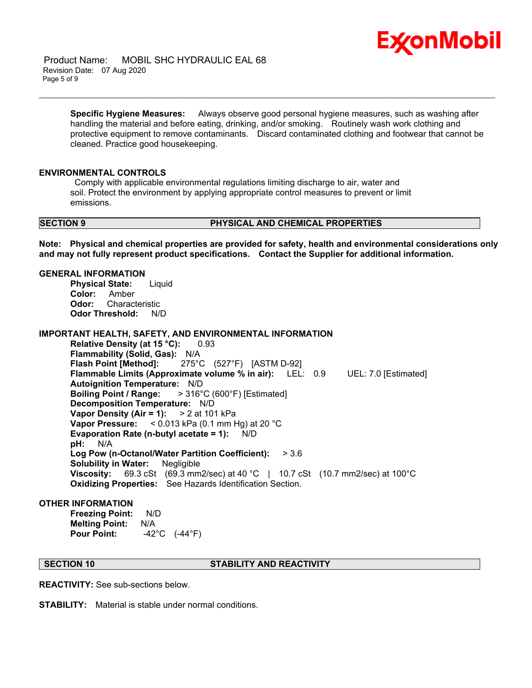

 Product Name: MOBIL SHC HYDRAULIC EAL 68 Revision Date: 07 Aug 2020 Page 5 of 9

> **Specific Hygiene Measures:** Always observe good personal hygiene measures, such as washing after handling the material and before eating, drinking, and/or smoking. Routinely wash work clothing and protective equipment to remove contaminants. Discard contaminated clothing and footwear that cannot be cleaned. Practice good housekeeping.

\_\_\_\_\_\_\_\_\_\_\_\_\_\_\_\_\_\_\_\_\_\_\_\_\_\_\_\_\_\_\_\_\_\_\_\_\_\_\_\_\_\_\_\_\_\_\_\_\_\_\_\_\_\_\_\_\_\_\_\_\_\_\_\_\_\_\_\_\_\_\_\_\_\_\_\_\_\_\_\_\_\_\_\_\_\_\_\_\_\_\_\_\_\_\_\_\_\_\_\_\_\_\_\_\_\_\_\_\_\_\_\_\_\_\_\_\_\_

#### **ENVIRONMENTAL CONTROLS**

 Comply with applicable environmental regulations limiting discharge to air, water and soil. Protect the environment by applying appropriate control measures to prevent or limit emissions.

#### **SECTION 9 PHYSICAL AND CHEMICAL PROPERTIES**

**Note: Physical and chemical properties are provided for safety, health and environmental considerations only and may not fully represent product specifications. Contact the Supplier for additional information.**

#### **GENERAL INFORMATION**

**Physical State:** Liquid **Color:** Amber **Odor:** Characteristic **Odor Threshold:** N/D

### **IMPORTANT HEALTH, SAFETY, AND ENVIRONMENTAL INFORMATION**

**Relative Density (at 15 °C):** 0.93 **Flammability (Solid, Gas):** N/A **Flash Point [Method]:** 275°C (527°F) [ASTM D-92] **Flammable Limits (Approximate volume % in air):** LEL: 0.9 UEL: 7.0 [Estimated] **Autoignition Temperature:** N/D **Boiling Point / Range:** > 316°C (600°F) [Estimated] **Decomposition Temperature:** N/D **Vapor Density (Air = 1):** > 2 at 101 kPa **Vapor Pressure:** < 0.013 kPa (0.1 mm Hg) at 20 °C **Evaporation Rate (n-butyl acetate = 1):** N/D **pH:** N/A **Log Pow (n-Octanol/Water Partition Coefficient):** > 3.6 **Solubility in Water:** Negligible **Viscosity:** 69.3 cSt (69.3 mm2/sec) at 40 °C | 10.7 cSt (10.7 mm2/sec) at 100 °C **Oxidizing Properties:** See Hazards Identification Section.

#### **OTHER INFORMATION**

**Freezing Point:** N/D **Melting Point:** N/A **Pour Point:** -42°C (-44°F)

### **SECTION 10 STABILITY AND REACTIVITY**

**REACTIVITY:** See sub-sections below.

**STABILITY:** Material is stable under normal conditions.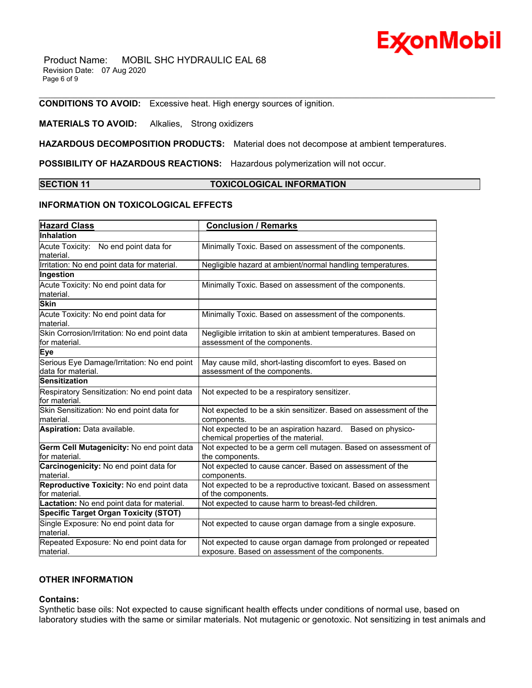# ExconMobil

 Product Name: MOBIL SHC HYDRAULIC EAL 68 Revision Date: 07 Aug 2020 Page 6 of 9

**CONDITIONS TO AVOID:** Excessive heat. High energy sources of ignition.

### **MATERIALS TO AVOID:** Alkalies, Strong oxidizers

**HAZARDOUS DECOMPOSITION PRODUCTS:** Material does not decompose at ambient temperatures.

**POSSIBILITY OF HAZARDOUS REACTIONS:** Hazardous polymerization will not occur.

#### **SECTION 11 TOXICOLOGICAL INFORMATION**

\_\_\_\_\_\_\_\_\_\_\_\_\_\_\_\_\_\_\_\_\_\_\_\_\_\_\_\_\_\_\_\_\_\_\_\_\_\_\_\_\_\_\_\_\_\_\_\_\_\_\_\_\_\_\_\_\_\_\_\_\_\_\_\_\_\_\_\_\_\_\_\_\_\_\_\_\_\_\_\_\_\_\_\_\_\_\_\_\_\_\_\_\_\_\_\_\_\_\_\_\_\_\_\_\_\_\_\_\_\_\_\_\_\_\_\_\_\_

#### **INFORMATION ON TOXICOLOGICAL EFFECTS**

| <b>Hazard Class</b>                                               | <b>Conclusion / Remarks</b>                                                                                       |
|-------------------------------------------------------------------|-------------------------------------------------------------------------------------------------------------------|
| Inhalation                                                        |                                                                                                                   |
| Acute Toxicity: No end point data for<br>material.                | Minimally Toxic. Based on assessment of the components.                                                           |
| Irritation: No end point data for material.                       | Negligible hazard at ambient/normal handling temperatures.                                                        |
| Ingestion                                                         |                                                                                                                   |
| Acute Toxicity: No end point data for<br>material.                | Minimally Toxic. Based on assessment of the components.                                                           |
| <b>Skin</b>                                                       |                                                                                                                   |
| Acute Toxicity: No end point data for<br>material.                | Minimally Toxic. Based on assessment of the components.                                                           |
| Skin Corrosion/Irritation: No end point data<br>for material.     | Negligible irritation to skin at ambient temperatures. Based on<br>assessment of the components.                  |
| <b>Eye</b>                                                        |                                                                                                                   |
| Serious Eye Damage/Irritation: No end point<br>data for material. | May cause mild, short-lasting discomfort to eyes. Based on<br>assessment of the components.                       |
| <b>Sensitization</b>                                              |                                                                                                                   |
| Respiratory Sensitization: No end point data<br>for material.     | Not expected to be a respiratory sensitizer.                                                                      |
| Skin Sensitization: No end point data for<br>material.            | Not expected to be a skin sensitizer. Based on assessment of the<br>components.                                   |
| Aspiration: Data available.                                       | Not expected to be an aspiration hazard. Based on physico-<br>chemical properties of the material.                |
| Germ Cell Mutagenicity: No end point data<br>for material.        | Not expected to be a germ cell mutagen. Based on assessment of<br>the components.                                 |
| Carcinogenicity: No end point data for<br>material.               | Not expected to cause cancer. Based on assessment of the<br>components.                                           |
| Reproductive Toxicity: No end point data<br>for material.         | Not expected to be a reproductive toxicant. Based on assessment<br>of the components.                             |
| Lactation: No end point data for material.                        | Not expected to cause harm to breast-fed children.                                                                |
| <b>Specific Target Organ Toxicity (STOT)</b>                      |                                                                                                                   |
| Single Exposure: No end point data for<br>material.               | Not expected to cause organ damage from a single exposure.                                                        |
| Repeated Exposure: No end point data for<br>material.             | Not expected to cause organ damage from prolonged or repeated<br>exposure. Based on assessment of the components. |

### **OTHER INFORMATION**

#### **Contains:**

Synthetic base oils: Not expected to cause significant health effects under conditions of normal use, based on laboratory studies with the same or similar materials. Not mutagenic or genotoxic. Not sensitizing in test animals and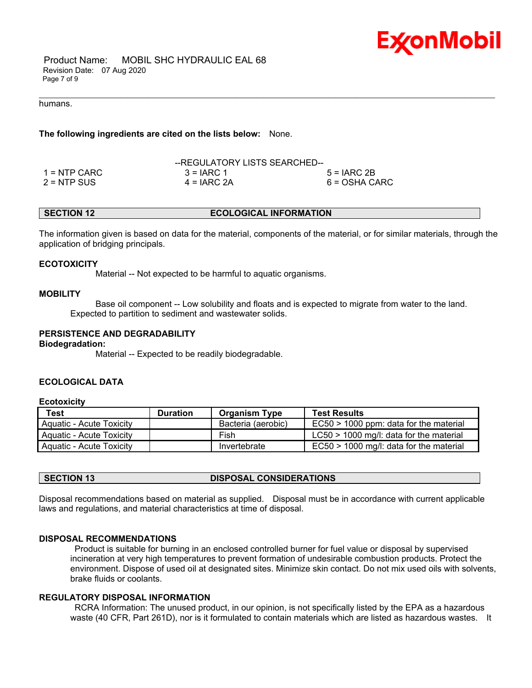

 Product Name: MOBIL SHC HYDRAULIC EAL 68 Revision Date: 07 Aug 2020 Page 7 of 9

#### humans.

**The following ingredients are cited on the lists below:** None.

|               | --REGULATORY LISTS SEARCHED-- |               |
|---------------|-------------------------------|---------------|
| 1 = NTP CARC  | $3 = IARC 1$                  | $5 = IARC2B$  |
| $2 = NTP$ SUS | $4 = IARC 2A$                 | 6 = OSHA CARC |

#### **SECTION 12 ECOLOGICAL INFORMATION**

The information given is based on data for the material, components of the material, or for similar materials, through the application of bridging principals.

\_\_\_\_\_\_\_\_\_\_\_\_\_\_\_\_\_\_\_\_\_\_\_\_\_\_\_\_\_\_\_\_\_\_\_\_\_\_\_\_\_\_\_\_\_\_\_\_\_\_\_\_\_\_\_\_\_\_\_\_\_\_\_\_\_\_\_\_\_\_\_\_\_\_\_\_\_\_\_\_\_\_\_\_\_\_\_\_\_\_\_\_\_\_\_\_\_\_\_\_\_\_\_\_\_\_\_\_\_\_\_\_\_\_\_\_\_\_

#### **ECOTOXICITY**

Material -- Not expected to be harmful to aquatic organisms.

#### **MOBILITY**

 Base oil component -- Low solubility and floats and is expected to migrate from water to the land. Expected to partition to sediment and wastewater solids.

#### **PERSISTENCE AND DEGRADABILITY**

#### **Biodegradation:**

Material -- Expected to be readily biodegradable.

### **ECOLOGICAL DATA**

#### **Ecotoxicity**

| Test                     | <b>Duration</b> | <b>Organism Type</b> | <b>Test Results</b>                       |
|--------------------------|-----------------|----------------------|-------------------------------------------|
| Aquatic - Acute Toxicity |                 | Bacteria (aerobic)   | $EC50 > 1000$ ppm: data for the material  |
| Aquatic - Acute Toxicity |                 | Fish                 | $LC50 > 1000$ mg/l: data for the material |
| Aquatic - Acute Toxicity |                 | Invertebrate         | $EC50 > 1000$ mg/l: data for the material |

### **SECTION 13 DISPOSAL CONSIDERATIONS**

Disposal recommendations based on material as supplied. Disposal must be in accordance with current applicable laws and regulations, and material characteristics at time of disposal.

#### **DISPOSAL RECOMMENDATIONS**

 Product is suitable for burning in an enclosed controlled burner for fuel value or disposal by supervised incineration at very high temperatures to prevent formation of undesirable combustion products. Protect the environment. Dispose of used oil at designated sites. Minimize skin contact. Do not mix used oils with solvents, brake fluids or coolants.

#### **REGULATORY DISPOSAL INFORMATION**

 RCRA Information: The unused product, in our opinion, is not specifically listed by the EPA as a hazardous waste (40 CFR, Part 261D), nor is it formulated to contain materials which are listed as hazardous wastes. It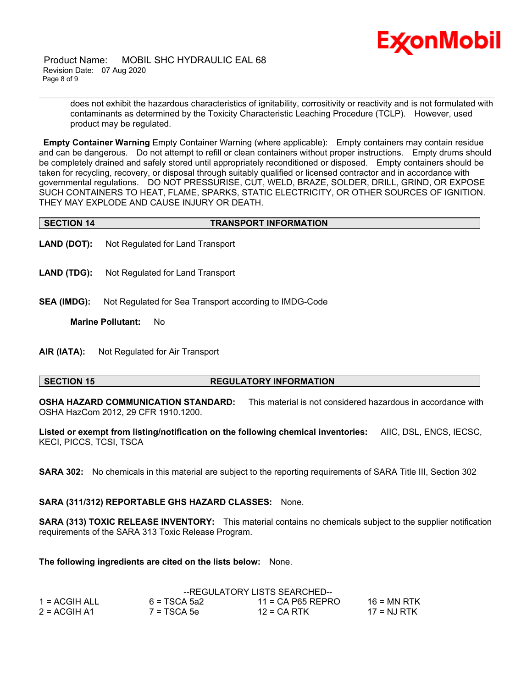

 Product Name: MOBIL SHC HYDRAULIC EAL 68 Revision Date: 07 Aug 2020 Page 8 of 9

> does not exhibit the hazardous characteristics of ignitability, corrositivity or reactivity and is not formulated with contaminants as determined by the Toxicity Characteristic Leaching Procedure (TCLP). However, used product may be regulated.

**Empty Container Warning** Empty Container Warning (where applicable): Empty containers may contain residue and can be dangerous. Do not attempt to refill or clean containers without proper instructions. Empty drums should be completely drained and safely stored until appropriately reconditioned or disposed. Empty containers should be taken for recycling, recovery, or disposal through suitably qualified or licensed contractor and in accordance with governmental regulations. DO NOT PRESSURISE, CUT, WELD, BRAZE, SOLDER, DRILL, GRIND, OR EXPOSE SUCH CONTAINERS TO HEAT, FLAME, SPARKS, STATIC ELECTRICITY, OR OTHER SOURCES OF IGNITION. THEY MAY EXPLODE AND CAUSE INJURY OR DEATH.

\_\_\_\_\_\_\_\_\_\_\_\_\_\_\_\_\_\_\_\_\_\_\_\_\_\_\_\_\_\_\_\_\_\_\_\_\_\_\_\_\_\_\_\_\_\_\_\_\_\_\_\_\_\_\_\_\_\_\_\_\_\_\_\_\_\_\_\_\_\_\_\_\_\_\_\_\_\_\_\_\_\_\_\_\_\_\_\_\_\_\_\_\_\_\_\_\_\_\_\_\_\_\_\_\_\_\_\_\_\_\_\_\_\_\_\_\_\_

- **LAND (DOT):** Not Regulated for Land Transport
- **LAND (TDG):** Not Regulated for Land Transport
- **SEA (IMDG):** Not Regulated for Sea Transport according to IMDG-Code

**Marine Pollutant:** No

**AIR (IATA):** Not Regulated for Air Transport

#### **SECTION 15 REGULATORY INFORMATION**

**OSHA HAZARD COMMUNICATION STANDARD:** This material is not considered hazardous in accordance with OSHA HazCom 2012, 29 CFR 1910.1200.

**Listed or exempt from listing/notification on the following chemical inventories:** AIIC, DSL, ENCS, IECSC, KECI, PICCS, TCSI, TSCA

**SARA 302:** No chemicals in this material are subject to the reporting requirements of SARA Title III, Section 302

**SARA (311/312) REPORTABLE GHS HAZARD CLASSES:** None.

**SARA (313) TOXIC RELEASE INVENTORY:** This material contains no chemicals subject to the supplier notification requirements of the SARA 313 Toxic Release Program.

**The following ingredients are cited on the lists below:** None.

|                | --REGULATORY LISTS SEARCHED-- |                     |             |
|----------------|-------------------------------|---------------------|-------------|
| 1 = ACGIH ALL  | 6 = TSCA 5a2                  | $11 = CA$ P65 REPRO | 16 = MN RTK |
| $2 = ACGIH A1$ | $7 = TSCA 5e$                 | $12$ = CA RTK       | 17 = NJ RTK |